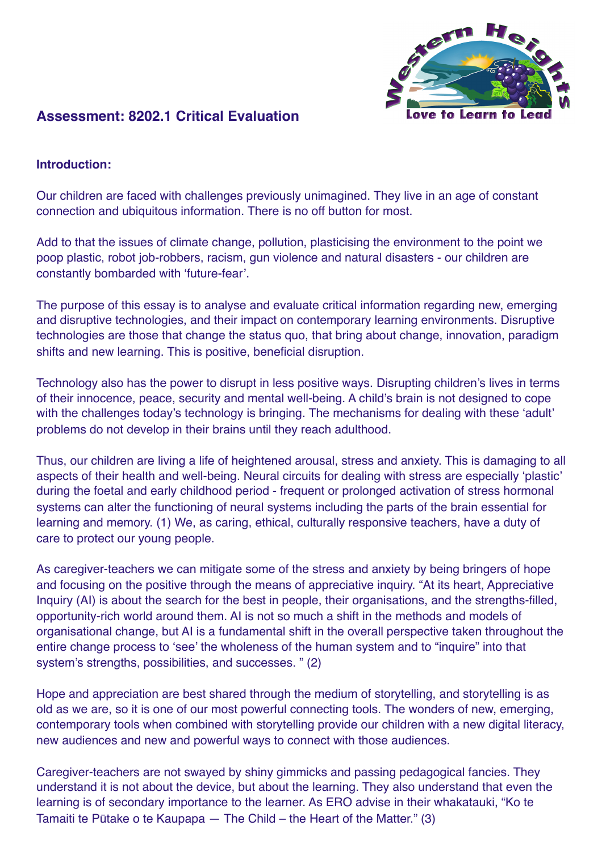

# **Assessment: 8202.1 Critical Evaluation**

#### **Introduction:**

Our children are faced with challenges previously unimagined. They live in an age of constant connection and ubiquitous information. There is no off button for most.

Add to that the issues of climate change, pollution, plasticising the environment to the point we poop plastic, robot job-robbers, racism, gun violence and natural disasters - our children are constantly bombarded with 'future-fear'.

The purpose of this essay is to analyse and evaluate critical information regarding new, emerging and disruptive technologies, and their impact on contemporary learning environments. Disruptive technologies are those that change the status quo, that bring about change, innovation, paradigm shifts and new learning. This is positive, beneficial disruption.

Technology also has the power to disrupt in less positive ways. Disrupting children's lives in terms of their innocence, peace, security and mental well-being. A child's brain is not designed to cope with the challenges today's technology is bringing. The mechanisms for dealing with these 'adult' problems do not develop in their brains until they reach adulthood.

Thus, our children are living a life of heightened arousal, stress and anxiety. This is damaging to all aspects of their health and well-being. Neural circuits for dealing with stress are especially 'plastic' during the foetal and early childhood period - frequent or prolonged activation of stress hormonal systems can alter the functioning of neural systems including the parts of the brain essential for learning and memory. (1) We, as caring, ethical, culturally responsive teachers, have a duty of care to protect our young people.

As caregiver-teachers we can mitigate some of the stress and anxiety by being bringers of hope and focusing on the positive through the means of appreciative inquiry. "At its heart, Appreciative Inquiry (AI) is about the search for the best in people, their organisations, and the strengths-filled, opportunity-rich world around them. AI is not so much a shift in the methods and models of organisational change, but AI is a fundamental shift in the overall perspective taken throughout the entire change process to 'see' the wholeness of the human system and to "inquire" into that system's strengths, possibilities, and successes. " (2)

Hope and appreciation are best shared through the medium of storytelling, and storytelling is as old as we are, so it is one of our most powerful connecting tools. The wonders of new, emerging, contemporary tools when combined with storytelling provide our children with a new digital literacy, new audiences and new and powerful ways to connect with those audiences.

Caregiver-teachers are not swayed by shiny gimmicks and passing pedagogical fancies. They understand it is not about the device, but about the learning. They also understand that even the learning is of secondary importance to the learner. As ERO advise in their whakatauki, "Ko te Tamaiti te Pūtake o te Kaupapa — The Child – the Heart of the Matter." (3)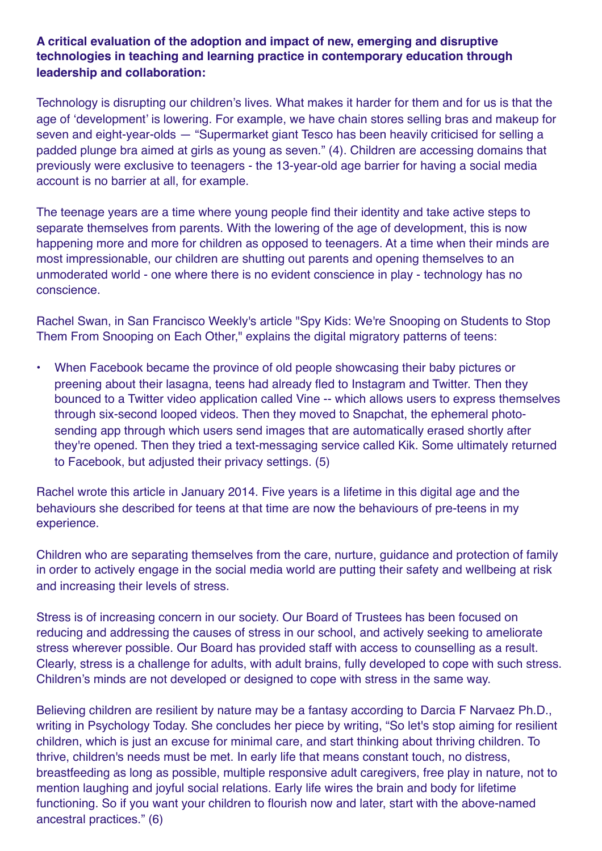## **A critical evaluation of the adoption and impact of new, emerging and disruptive technologies in teaching and learning practice in contemporary education through leadership and collaboration:**

Technology is disrupting our children's lives. What makes it harder for them and for us is that the age of 'development' is lowering. For example, we have chain stores selling bras and makeup for seven and eight-year-olds — "Supermarket giant Tesco has been heavily criticised for selling a padded plunge bra aimed at girls as young as seven." (4). Children are accessing domains that previously were exclusive to teenagers - the 13-year-old age barrier for having a social media account is no barrier at all, for example.

The teenage years are a time where young people find their identity and take active steps to separate themselves from parents. With the lowering of the age of development, this is now happening more and more for children as opposed to teenagers. At a time when their minds are most impressionable, our children are shutting out parents and opening themselves to an unmoderated world - one where there is no evident conscience in play - technology has no conscience.

Rachel Swan, in San Francisco Weekly's article "Spy Kids: We're Snooping on Students to Stop Them From Snooping on Each Other," explains the digital migratory patterns of teens:

• When Facebook became the province of old people showcasing their baby pictures or preening about their lasagna, teens had already fled to Instagram and Twitter. Then they bounced to a Twitter video application called Vine -- which allows users to express themselves through six-second looped videos. Then they moved to Snapchat, the ephemeral photosending app through which users send images that are automatically erased shortly after they're opened. Then they tried a text-messaging service called Kik. Some ultimately returned to Facebook, but adjusted their privacy settings. (5)

Rachel wrote this article in January 2014. Five years is a lifetime in this digital age and the behaviours she described for teens at that time are now the behaviours of pre-teens in my experience.

Children who are separating themselves from the care, nurture, guidance and protection of family in order to actively engage in the social media world are putting their safety and wellbeing at risk and increasing their levels of stress.

Stress is of increasing concern in our society. Our Board of Trustees has been focused on reducing and addressing the causes of stress in our school, and actively seeking to ameliorate stress wherever possible. Our Board has provided staff with access to counselling as a result. Clearly, stress is a challenge for adults, with adult brains, fully developed to cope with such stress. Children's minds are not developed or designed to cope with stress in the same way.

Believing children are resilient by nature may be a fantasy according to Darcia F Narvaez Ph.D., writing in Psychology Today. She concludes her piece by writing, "So let's stop aiming for resilient children, which is just an excuse for minimal care, and start thinking about thriving children. To thrive, children's needs must be met. In early life that means constant touch, no distress, breastfeeding as long as possible, multiple responsive adult caregivers, free play in nature, not to mention laughing and joyful social relations. Early life wires the brain and body for lifetime functioning. So if you want your children to flourish now and later, start with the above-named ancestral practices." (6)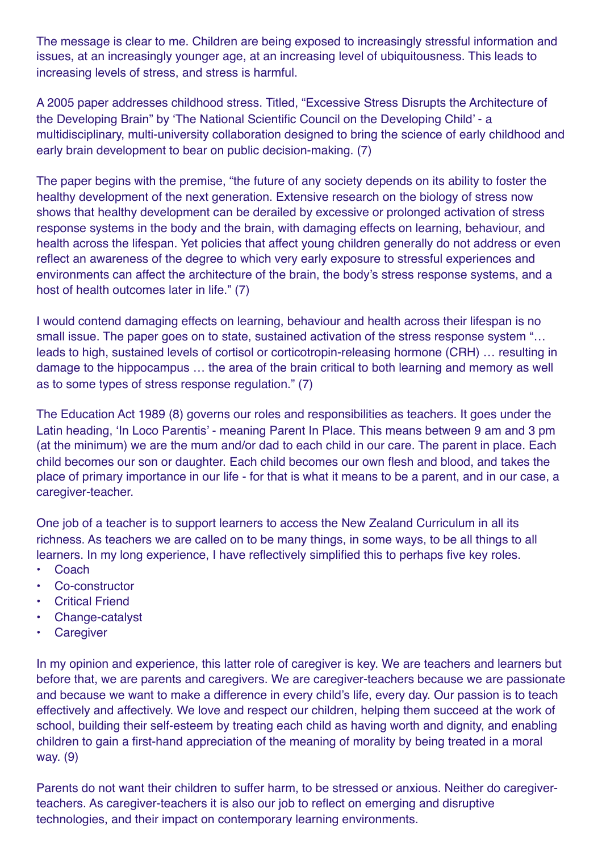The message is clear to me. Children are being exposed to increasingly stressful information and issues, at an increasingly younger age, at an increasing level of ubiquitousness. This leads to increasing levels of stress, and stress is harmful.

A 2005 paper addresses childhood stress. Titled, "Excessive Stress Disrupts the Architecture of the Developing Brain" by 'The National Scientific Council on the Developing Child' - a multidisciplinary, multi-university collaboration designed to bring the science of early childhood and early brain development to bear on public decision-making. (7)

The paper begins with the premise, "the future of any society depends on its ability to foster the healthy development of the next generation. Extensive research on the biology of stress now shows that healthy development can be derailed by excessive or prolonged activation of stress response systems in the body and the brain, with damaging effects on learning, behaviour, and health across the lifespan. Yet policies that affect young children generally do not address or even reflect an awareness of the degree to which very early exposure to stressful experiences and environments can affect the architecture of the brain, the body's stress response systems, and a host of health outcomes later in life." (7)

I would contend damaging effects on learning, behaviour and health across their lifespan is no small issue. The paper goes on to state, sustained activation of the stress response system "… leads to high, sustained levels of cortisol or corticotropin-releasing hormone (CRH) … resulting in damage to the hippocampus … the area of the brain critical to both learning and memory as well as to some types of stress response regulation." (7)

The Education Act 1989 (8) governs our roles and responsibilities as teachers. It goes under the Latin heading, 'In Loco Parentis' - meaning Parent In Place. This means between 9 am and 3 pm (at the minimum) we are the mum and/or dad to each child in our care. The parent in place. Each child becomes our son or daughter. Each child becomes our own flesh and blood, and takes the place of primary importance in our life - for that is what it means to be a parent, and in our case, a caregiver-teacher.

One job of a teacher is to support learners to access the New Zealand Curriculum in all its richness. As teachers we are called on to be many things, in some ways, to be all things to all learners. In my long experience, I have reflectively simplified this to perhaps five key roles.

- **Coach**
- Co-constructor
- **Critical Friend**
- Change-catalyst
- **Caregiver**

In my opinion and experience, this latter role of caregiver is key. We are teachers and learners but before that, we are parents and caregivers. We are caregiver-teachers because we are passionate and because we want to make a difference in every child's life, every day. Our passion is to teach effectively and affectively. We love and respect our children, helping them succeed at the work of school, building their self-esteem by treating each child as having worth and dignity, and enabling children to gain a first-hand appreciation of the meaning of morality by being treated in a moral way. (9)

Parents do not want their children to suffer harm, to be stressed or anxious. Neither do caregiverteachers. As caregiver-teachers it is also our job to reflect on emerging and disruptive technologies, and their impact on contemporary learning environments.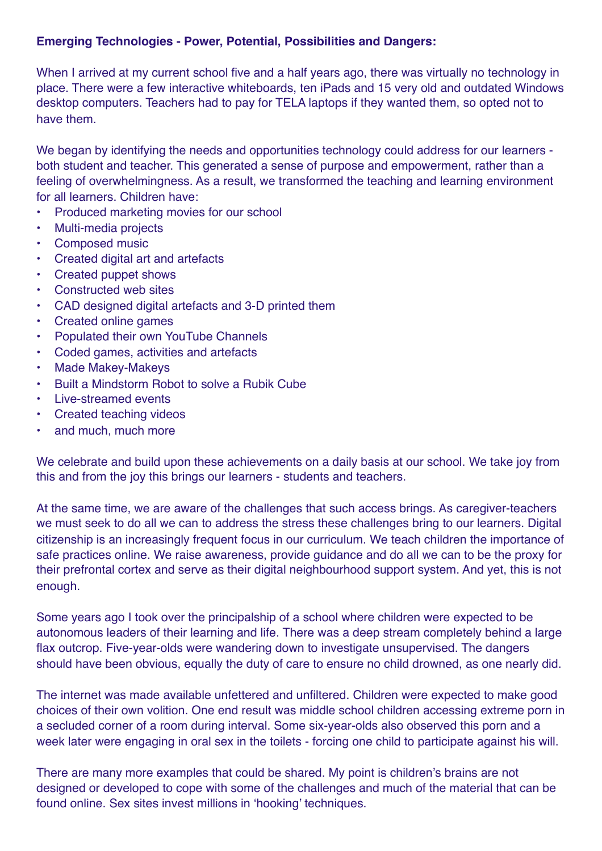#### **Emerging Technologies - Power, Potential, Possibilities and Dangers:**

When I arrived at my current school five and a half years ago, there was virtually no technology in place. There were a few interactive whiteboards, ten iPads and 15 very old and outdated Windows desktop computers. Teachers had to pay for TELA laptops if they wanted them, so opted not to have them.

We began by identifying the needs and opportunities technology could address for our learners both student and teacher. This generated a sense of purpose and empowerment, rather than a feeling of overwhelmingness. As a result, we transformed the teaching and learning environment for all learners. Children have:

- Produced marketing movies for our school
- Multi-media projects
- Composed music
- Created digital art and artefacts
- Created puppet shows
- Constructed web sites
- CAD designed digital artefacts and 3-D printed them
- Created online games
- Populated their own YouTube Channels
- Coded games, activities and artefacts
- Made Makey-Makeys
- Built a Mindstorm Robot to solve a Rubik Cube
- Live-streamed events
- Created teaching videos
- and much, much more

We celebrate and build upon these achievements on a daily basis at our school. We take joy from this and from the joy this brings our learners - students and teachers.

At the same time, we are aware of the challenges that such access brings. As caregiver-teachers we must seek to do all we can to address the stress these challenges bring to our learners. Digital citizenship is an increasingly frequent focus in our curriculum. We teach children the importance of safe practices online. We raise awareness, provide guidance and do all we can to be the proxy for their prefrontal cortex and serve as their digital neighbourhood support system. And yet, this is not enough.

Some years ago I took over the principalship of a school where children were expected to be autonomous leaders of their learning and life. There was a deep stream completely behind a large flax outcrop. Five-year-olds were wandering down to investigate unsupervised. The dangers should have been obvious, equally the duty of care to ensure no child drowned, as one nearly did.

The internet was made available unfettered and unfiltered. Children were expected to make good choices of their own volition. One end result was middle school children accessing extreme porn in a secluded corner of a room during interval. Some six-year-olds also observed this porn and a week later were engaging in oral sex in the toilets - forcing one child to participate against his will.

There are many more examples that could be shared. My point is children's brains are not designed or developed to cope with some of the challenges and much of the material that can be found online. Sex sites invest millions in 'hooking' techniques.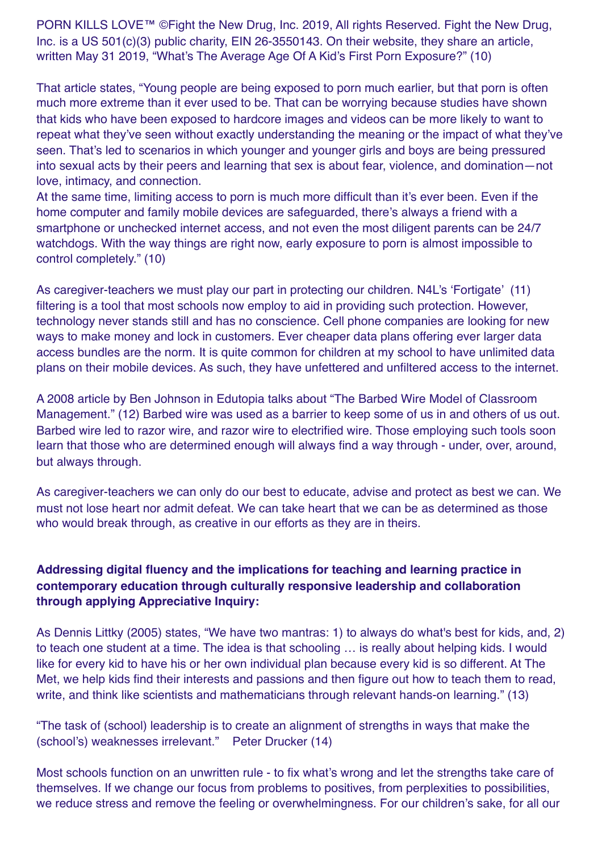PORN KILLS LOVE™ © Fight the New Drug, Inc. 2019, All rights Reserved. Fight the New Drug, Inc. is a US 501(c)(3) public charity, EIN 26-3550143. On their website, they share an article, written May 31 2019, "What's The Average Age Of A Kid's First Porn Exposure?" (10)

That article states, "Young people are being exposed to porn much earlier, but that porn is often much more extreme than it ever used to be. That can be worrying because studies have shown that kids who have been exposed to hardcore images and videos can be more likely to want to repeat what they've seen without exactly understanding the meaning or the impact of what they've seen. That's led to scenarios in which younger and younger girls and boys are being pressured into sexual acts by their peers and learning that sex is about fear, violence, and domination—not love, intimacy, and connection.

At the same time, limiting access to porn is much more difficult than it's ever been. Even if the home computer and family mobile devices are safeguarded, there's always a friend with a smartphone or unchecked internet access, and not even the most diligent parents can be 24/7 watchdogs. With the way things are right now, early exposure to porn is almost impossible to control completely." (10)

As caregiver-teachers we must play our part in protecting our children. N4L's 'Fortigate' (11) filtering is a tool that most schools now employ to aid in providing such protection. However, technology never stands still and has no conscience. Cell phone companies are looking for new ways to make money and lock in customers. Ever cheaper data plans offering ever larger data access bundles are the norm. It is quite common for children at my school to have unlimited data plans on their mobile devices. As such, they have unfettered and unfiltered access to the internet.

A 2008 article by Ben Johnson in Edutopia talks about "The Barbed Wire Model of Classroom Management." (12) Barbed wire was used as a barrier to keep some of us in and others of us out. Barbed wire led to razor wire, and razor wire to electrified wire. Those employing such tools soon learn that those who are determined enough will always find a way through - under, over, around, but always through.

As caregiver-teachers we can only do our best to educate, advise and protect as best we can. We must not lose heart nor admit defeat. We can take heart that we can be as determined as those who would break through, as creative in our efforts as they are in theirs.

# **Addressing digital fluency and the implications for teaching and learning practice in contemporary education through culturally responsive leadership and collaboration through applying Appreciative Inquiry:**

As Dennis Littky (2005) states, "We have two mantras: 1) to always do what's best for kids, and, 2) to teach one student at a time. The idea is that schooling … is really about helping kids. I would like for every kid to have his or her own individual plan because every kid is so different. At The Met, we help kids find their interests and passions and then figure out how to teach them to read, write, and think like scientists and mathematicians through relevant hands-on learning." (13)

"The task of (school) leadership is to create an alignment of strengths in ways that make the (school's) weaknesses irrelevant." Peter Drucker (14)

Most schools function on an unwritten rule - to fix what's wrong and let the strengths take care of themselves. If we change our focus from problems to positives, from perplexities to possibilities, we reduce stress and remove the feeling or overwhelmingness. For our children's sake, for all our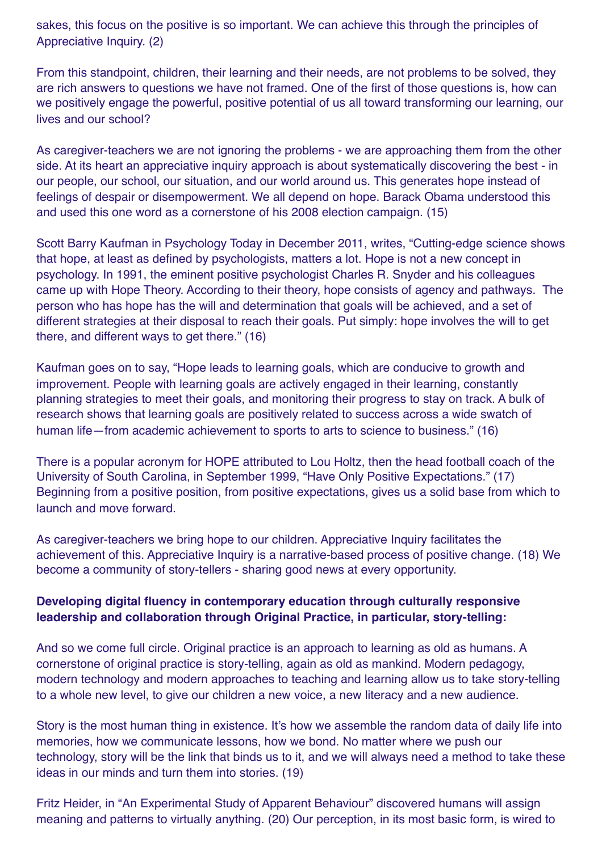sakes, this focus on the positive is so important. We can achieve this through the principles of Appreciative Inquiry. (2)

From this standpoint, children, their learning and their needs, are not problems to be solved, they are rich answers to questions we have not framed. One of the first of those questions is, how can we positively engage the powerful, positive potential of us all toward transforming our learning, our lives and our school?

As caregiver-teachers we are not ignoring the problems - we are approaching them from the other side. At its heart an appreciative inquiry approach is about systematically discovering the best - in our people, our school, our situation, and our world around us. This generates hope instead of feelings of despair or disempowerment. We all depend on hope. Barack Obama understood this and used this one word as a cornerstone of his 2008 election campaign. (15)

Scott Barry Kaufman in Psychology Today in December 2011, writes, "Cutting-edge science shows that hope, at least as defined by psychologists, matters a lot. Hope is not a new concept in psychology. In 1991, the eminent positive psychologist Charles R. Snyder and his colleagues came up with Hope Theory. According to their theory, hope consists of agency and pathways. The person who has hope has the will and determination that goals will be achieved, and a set of different strategies at their disposal to reach their goals. Put simply: hope involves the will to get there, and different ways to get there." (16)

Kaufman goes on to say, "Hope leads to learning goals, which are conducive to growth and improvement. People with learning goals are actively engaged in their learning, constantly planning strategies to meet their goals, and monitoring their progress to stay on track. A bulk of research shows that learning goals are positively related to success across a wide swatch of human life—from academic achievement to sports to arts to science to business." (16)

There is a popular acronym for HOPE attributed to Lou Holtz, then the head football coach of the University of South Carolina, in September 1999, "Have Only Positive Expectations." (17) Beginning from a positive position, from positive expectations, gives us a solid base from which to launch and move forward.

As caregiver-teachers we bring hope to our children. Appreciative Inquiry facilitates the achievement of this. Appreciative Inquiry is a narrative-based process of positive change. (18) We become a community of story-tellers - sharing good news at every opportunity.

#### **Developing digital fluency in contemporary education through culturally responsive leadership and collaboration through Original Practice, in particular, story-telling:**

And so we come full circle. Original practice is an approach to learning as old as humans. A cornerstone of original practice is story-telling, again as old as mankind. Modern pedagogy, modern technology and modern approaches to teaching and learning allow us to take story-telling to a whole new level, to give our children a new voice, a new literacy and a new audience.

Story is the most human thing in existence. It's how we assemble the random data of daily life into memories, how we communicate lessons, how we bond. No matter where we push our technology, story will be the link that binds us to it, and we will always need a method to take these ideas in our minds and turn them into stories. (19)

Fritz Heider, in "An Experimental Study of Apparent Behaviour" discovered humans will assign meaning and patterns to virtually anything. (20) Our perception, in its most basic form, is wired to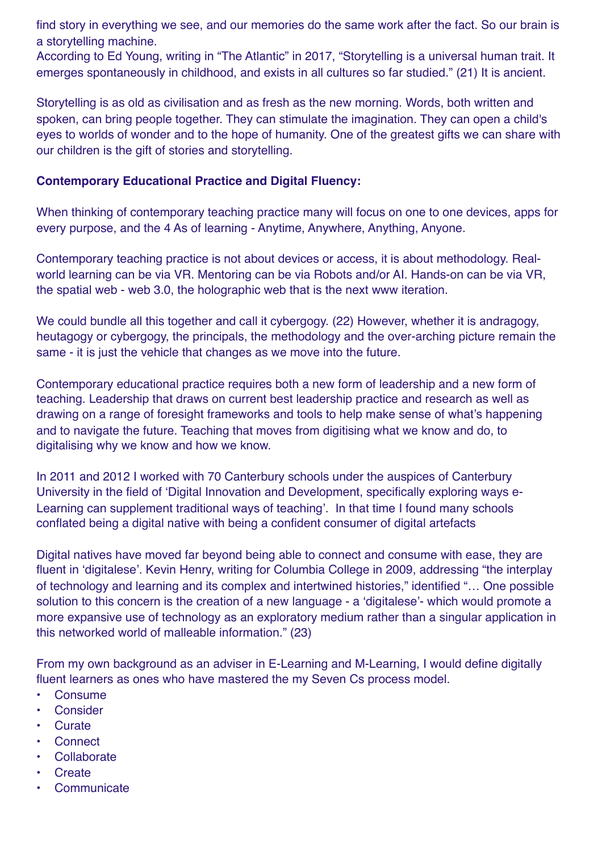find story in everything we see, and our memories do the same work after the fact. So our brain is a storytelling machine.

According to Ed Young, writing in "The Atlantic" in 2017, "Storytelling is a universal human trait. It emerges spontaneously in childhood, and exists in all cultures so far studied." (21) It is ancient.

Storytelling is as old as civilisation and as fresh as the new morning. Words, both written and spoken, can bring people together. They can stimulate the imagination. They can open a child's eyes to worlds of wonder and to the hope of humanity. One of the greatest gifts we can share with our children is the gift of stories and storytelling.

#### **Contemporary Educational Practice and Digital Fluency:**

When thinking of contemporary teaching practice many will focus on one to one devices, apps for every purpose, and the 4 As of learning - Anytime, Anywhere, Anything, Anyone.

Contemporary teaching practice is not about devices or access, it is about methodology. Realworld learning can be via VR. Mentoring can be via Robots and/or AI. Hands-on can be via VR, the spatial web - web 3.0, the holographic web that is the next www iteration.

We could bundle all this together and call it cybergogy. (22) However, whether it is andragogy, heutagogy or cybergogy, the principals, the methodology and the over-arching picture remain the same - it is just the vehicle that changes as we move into the future.

Contemporary educational practice requires both a new form of leadership and a new form of teaching. Leadership that draws on current best leadership practice and research as well as drawing on a range of foresight frameworks and tools to help make sense of what's happening and to navigate the future. Teaching that moves from digitising what we know and do, to digitalising why we know and how we know.

In 2011 and 2012 I worked with 70 Canterbury schools under the auspices of Canterbury University in the field of 'Digital Innovation and Development, specifically exploring ways e-Learning can supplement traditional ways of teaching'. In that time I found many schools conflated being a digital native with being a confident consumer of digital artefacts

Digital natives have moved far beyond being able to connect and consume with ease, they are fluent in 'digitalese'. Kevin Henry, writing for Columbia College in 2009, addressing "the interplay of technology and learning and its complex and intertwined histories," identified "… One possible solution to this concern is the creation of a new language - a 'digitalese'- which would promote a more expansive use of technology as an exploratory medium rather than a singular application in this networked world of malleable information." (23)

From my own background as an adviser in E-Learning and M-Learning, I would define digitally fluent learners as ones who have mastered the my Seven Cs process model.

- Consume
- **Consider**
- Curate
- Connect
- **Collaborate**
- **Create**
- **Communicate**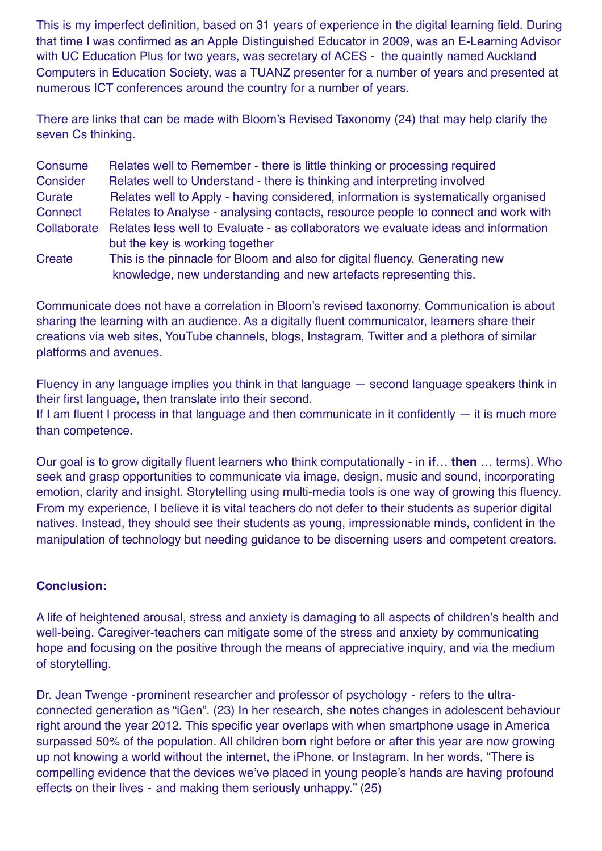This is my imperfect definition, based on 31 years of experience in the digital learning field. During that time I was confirmed as an Apple Distinguished Educator in 2009, was an E-Learning Advisor with UC Education Plus for two years, was secretary of ACES - the quaintly named Auckland Computers in Education Society, was a TUANZ presenter for a number of years and presented at numerous ICT conferences around the country for a number of years.

There are links that can be made with Bloom's Revised Taxonomy (24) that may help clarify the seven Cs thinking.

| Consume     | Relates well to Remember - there is little thinking or processing required                                                                       |
|-------------|--------------------------------------------------------------------------------------------------------------------------------------------------|
| Consider    | Relates well to Understand - there is thinking and interpreting involved                                                                         |
| Curate      | Relates well to Apply - having considered, information is systematically organised                                                               |
| Connect     | Relates to Analyse - analysing contacts, resource people to connect and work with                                                                |
| Collaborate | Relates less well to Evaluate - as collaborators we evaluate ideas and information<br>but the key is working together                            |
| Create      | This is the pinnacle for Bloom and also for digital fluency. Generating new<br>knowledge, new understanding and new artefacts representing this. |

Communicate does not have a correlation in Bloom's revised taxonomy. Communication is about sharing the learning with an audience. As a digitally fluent communicator, learners share their creations via web sites, YouTube channels, blogs, Instagram, Twitter and a plethora of similar platforms and avenues.

Fluency in any language implies you think in that language — second language speakers think in their first language, then translate into their second.

If I am fluent I process in that language and then communicate in it confidently  $-$  it is much more than competence.

Our goal is to grow digitally fluent learners who think computationally - in **if**… **then** … terms). Who seek and grasp opportunities to communicate via image, design, music and sound, incorporating emotion, clarity and insight. Storytelling using multi-media tools is one way of growing this fluency. From my experience, I believe it is vital teachers do not defer to their students as superior digital natives. Instead, they should see their students as young, impressionable minds, confident in the manipulation of technology but needing guidance to be discerning users and competent creators.

# **Conclusion:**

A life of heightened arousal, stress and anxiety is damaging to all aspects of children's health and well-being. Caregiver-teachers can mitigate some of the stress and anxiety by communicating hope and focusing on the positive through the means of appreciative inquiry, and via the medium of storytelling.

Dr. Jean Twenge -prominent researcher and professor of psychology - refers to the ultraconnected generation as "iGen". (23) In her research, she notes changes in adolescent behaviour right around the year 2012. This specific year overlaps with when smartphone usage in America surpassed 50% of the population. All children born right before or after this year are now growing up not knowing a world without the internet, the iPhone, or Instagram. In her words, "There is compelling evidence that the devices we've placed in young people's hands are having profound effects on their lives - and making them seriously unhappy." (25)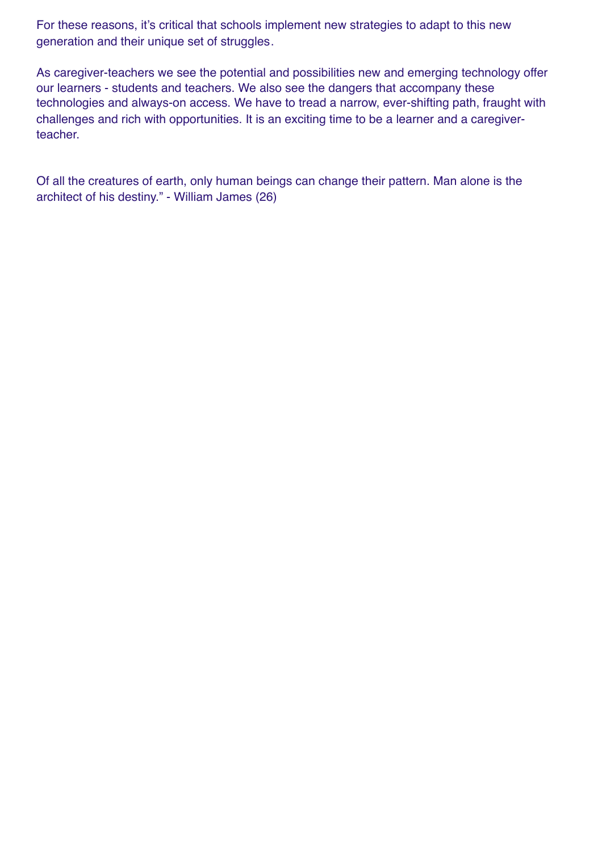For these reasons, it's critical that schools implement new strategies to adapt to this new generation and their unique set of struggles.

As caregiver-teachers we see the potential and possibilities new and emerging technology offer our learners - students and teachers. We also see the dangers that accompany these technologies and always-on access. We have to tread a narrow, ever-shifting path, fraught with challenges and rich with opportunities. It is an exciting time to be a learner and a caregiverteacher.

Of all the creatures of earth, only human beings can change their pattern. Man alone is the architect of his destiny." - William James (26)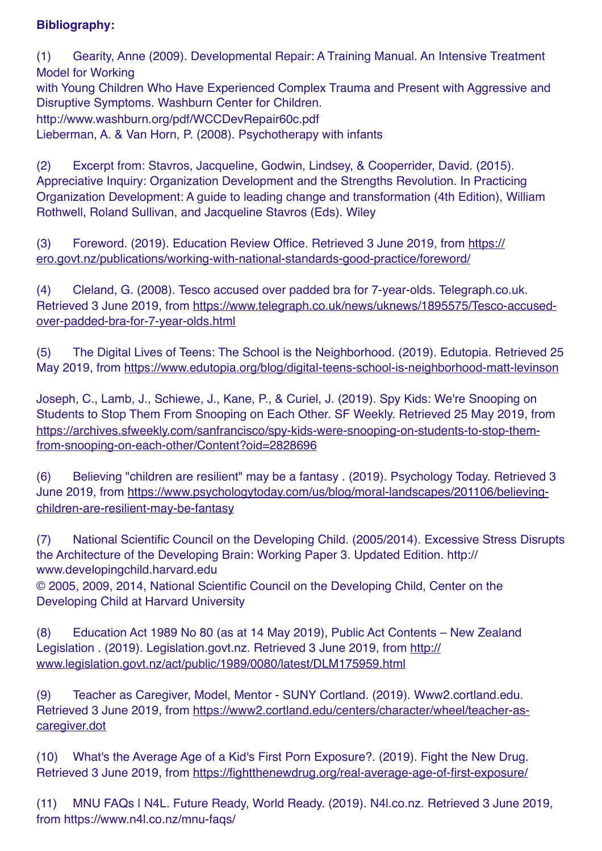# **Bibliography:**

(1) Gearity, Anne (2009). Developmental Repair: A Training Manual. An Intensive Treatment Model for Working with Young Children Who Have Experienced Complex Trauma and Present with Aggressive and Disruptive Symptoms. Washburn Center for Children. http://www.washburn.org/pdf/WCCDevRepair60c.pdf Lieberman, A. & Van Horn, P. (2008). Psychotherapy with infants

(2) Excerpt from: Stavros, Jacqueline, Godwin, Lindsey, & Cooperrider, David. (2015). Appreciative Inquiry: Organization Development and the Strengths Revolution. In Practicing Organization Development: A guide to leading change and transformation (4th Edition), William Rothwell, Roland Sullivan, and Jacqueline Stavros (Eds). Wiley

(3) Foreword. (2019). Education Review Office. Retrieved 3 June 2019, from [https://](https://ero.govt.nz/publications/working-with-national-standards-good-practice/foreword/) [ero.govt.nz/publications/working-with-national-standards-good-practice/foreword/](https://ero.govt.nz/publications/working-with-national-standards-good-practice/foreword/)

(4) Cleland, G. (2008). Tesco accused over padded bra for 7-year-olds. Telegraph.co.uk. Retrieved 3 June 2019, from [https://www.telegraph.co.uk/news/uknews/1895575/Tesco-accused](https://www.telegraph.co.uk/news/uknews/1895575/Tesco-accused-over-padded-bra-for-7-year-olds.html)[over-padded-bra-for-7-year-olds.html](https://www.telegraph.co.uk/news/uknews/1895575/Tesco-accused-over-padded-bra-for-7-year-olds.html)

(5) The Digital Lives of Teens: The School is the Neighborhood. (2019). Edutopia. Retrieved 25 May 2019, from <https://www.edutopia.org/blog/digital-teens-school-is-neighborhood-matt-levinson>

Joseph, C., Lamb, J., Schiewe, J., Kane, P., & Curiel, J. (2019). Spy Kids: We're Snooping on Students to Stop Them From Snooping on Each Other. SF Weekly. Retrieved 25 May 2019, from [https://archives.sfweekly.com/sanfrancisco/spy-kids-were-snooping-on-students-to-stop-them](https://archives.sfweekly.com/sanfrancisco/spy-kids-were-snooping-on-students-to-stop-them-from-snooping-on-each-other/Content?oid=2828696)[from-snooping-on-each-other/Content?oid=2828696](https://archives.sfweekly.com/sanfrancisco/spy-kids-were-snooping-on-students-to-stop-them-from-snooping-on-each-other/Content?oid=2828696)

(6) Believing "children are resilient" may be a fantasy . (2019). Psychology Today. Retrieved 3 June 2019, from [https://www.psychologytoday.com/us/blog/moral-landscapes/201106/believing](https://www.psychologytoday.com/us/blog/moral-landscapes/201106/believing-children-are-resilient-may-be-fantasy)[children-are-resilient-may-be-fantasy](https://www.psychologytoday.com/us/blog/moral-landscapes/201106/believing-children-are-resilient-may-be-fantasy)

(7) National Scientific Council on the Developing Child. (2005/2014). Excessive Stress Disrupts the Architecture of the Developing Brain: Working Paper 3. Updated Edition. http:// www.developingchild.harvard.edu

© 2005, 2009, 2014, National Scientific Council on the Developing Child, Center on the Developing Child at Harvard University

(8) Education Act 1989 No 80 (as at 14 May 2019), Public Act Contents – New Zealand Legislation . (2019). Legislation.govt.nz. Retrieved 3 June 2019, from [http://](http://www.legislation.govt.nz/act/public/1989/0080/latest/DLM175959.html) [www.legislation.govt.nz/act/public/1989/0080/latest/DLM175959.html](http://www.legislation.govt.nz/act/public/1989/0080/latest/DLM175959.html)

(9) Teacher as Caregiver, Model, Mentor - SUNY Cortland. (2019). Www2.cortland.edu. Retrieved 3 June 2019, from [https://www2.cortland.edu/centers/character/wheel/teacher-as](https://www2.cortland.edu/centers/character/wheel/teacher-as-caregiver.dot)[caregiver.dot](https://www2.cortland.edu/centers/character/wheel/teacher-as-caregiver.dot)

(10) What's the Average Age of a Kid's First Porn Exposure?. (2019). Fight the New Drug. Retrieved 3 June 2019, from <https://fightthenewdrug.org/real-average-age-of-first-exposure/>

(11) MNU FAQs | N4L. Future Ready, World Ready. (2019). N4l.co.nz. Retrieved 3 June 2019, from https://www.n4l.co.nz/mnu-faqs/